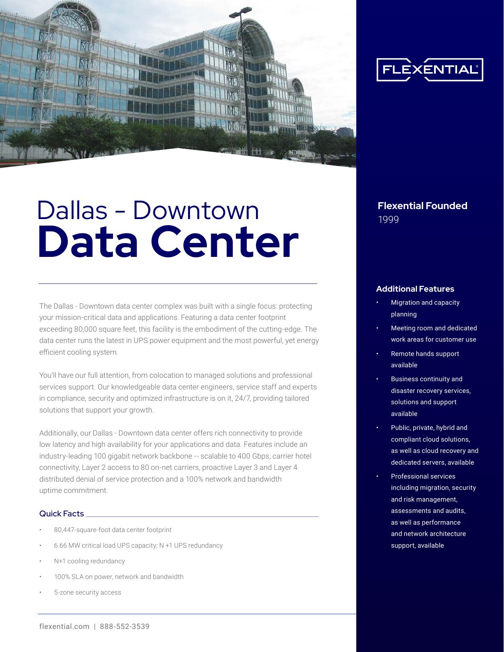

# **Dallas - Downtown Flexential Founded Data Center**

The Dallas - Downtown data center complex was built with a single focus: protecting your mission-critical data and applications. Featuring a data center footprint exceeding 80,000 square feet, this facility is the embodiment of the cutting-edge. The data center runs the latest in UPS power equipment and the most powerful, yet energy efficient cooling system.

You'll have our full attention, from colocation to managed solutions and professional services support. Our knowledgeable data center engineers, service staff and experts in compliance, security and optimized infrastructure is on it, 24/7, providing tailored solutions that support your growth.

Additionally, our Dallas - Downtown data center offers rich connectivity to provide low latency and high availability for your applications and data. Features include an industry-leading 100 gigabit network backbone -- scalable to 400 Gbps, carrier hotel connectivity, Layer 2 access to 80 on-net carriers, proactive Layer 3 and Layer 4 distributed denial of service protection and a 100% network and bandwidth uptime commitment.

#### Quick Facts

- 80,447-square-foot data center footprint
- 6.66 MW critical load UPS capacity; N +1 UPS redundancy
- N+1 cooling redundancy
- 100% SLA on power, network and bandwidth
- 5-zone security access



#### **Additional Features**

- Migration and capacity planning
- Meeting room and dedicated work areas for customer use
- Remote hands support available
- Business continuity and disaster recovery services, solutions and support available
- Public, private, hybrid and compliant cloud solutions, as well as cloud recovery and dedicated servers, available
- Professional services including migration, security and risk management, assessments and audits, as well as performance and network architecture support, available